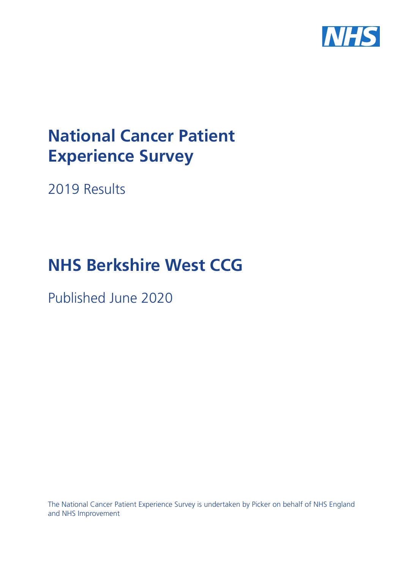

# **National Cancer Patient Experience Survey**

2019 Results

# **NHS Berkshire West CCG**

Published June 2020

The National Cancer Patient Experience Survey is undertaken by Picker on behalf of NHS England and NHS Improvement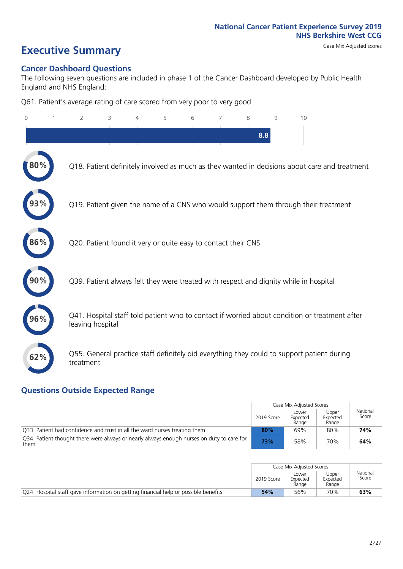# **Executive Summary** Case Mix Adjusted scores

### **Cancer Dashboard Questions**

The following seven questions are included in phase 1 of the Cancer Dashboard developed by Public Health England and NHS England:

Q61. Patient's average rating of care scored from very poor to very good

| $\Omega$ | $\overline{2}$                                                | 3 | 5 | 6 | 7 | 8   | 9 | 10                                                                                            |
|----------|---------------------------------------------------------------|---|---|---|---|-----|---|-----------------------------------------------------------------------------------------------|
|          |                                                               |   |   |   |   | 8.8 |   |                                                                                               |
| 80%      |                                                               |   |   |   |   |     |   | Q18. Patient definitely involved as much as they wanted in decisions about care and treatment |
|          |                                                               |   |   |   |   |     |   | Q19. Patient given the name of a CNS who would support them through their treatment           |
| 86%      | Q20. Patient found it very or quite easy to contact their CNS |   |   |   |   |     |   |                                                                                               |
|          |                                                               |   |   |   |   |     |   | Q39. Patient always felt they were treated with respect and dignity while in hospital         |
| 96%      | leaving hospital                                              |   |   |   |   |     |   | Q41. Hospital staff told patient who to contact if worried about condition or treatment after |
| 62%      | treatment                                                     |   |   |   |   |     |   | Q55. General practice staff definitely did everything they could to support patient during    |

### **Questions Outside Expected Range**

|                                                                                                   |            | Case Mix Adjusted Scores   |                            |                   |
|---------------------------------------------------------------------------------------------------|------------|----------------------------|----------------------------|-------------------|
|                                                                                                   | 2019 Score | Lower<br>Expected<br>Range | Upper<br>Expected<br>Range | National<br>Score |
| 033. Patient had confidence and trust in all the ward nurses treating them                        | 80%        | 69%                        | 80%                        | 74%               |
| Q34. Patient thought there were always or nearly always enough nurses on duty to care for<br>them | 73%        | 58%                        | 70%                        | 64%               |

|                                                                                     |            | Case Mix Adjusted Scores   |                            |                   |
|-------------------------------------------------------------------------------------|------------|----------------------------|----------------------------|-------------------|
|                                                                                     | 2019 Score | Lower<br>Expected<br>Range | Upper<br>Expected<br>Range | National<br>Score |
| Q24. Hospital staff gave information on getting financial help or possible benefits | 54%        | 56%                        | 70%                        | 63%               |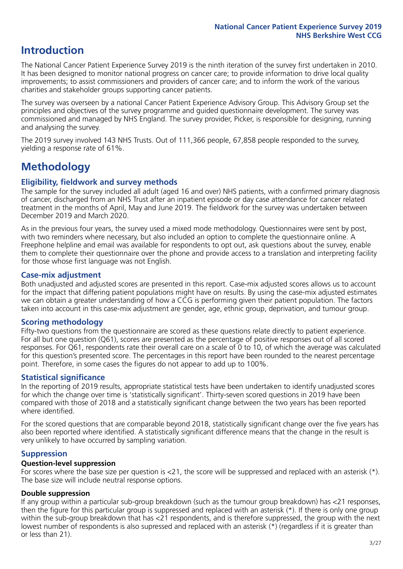## **Introduction**

The National Cancer Patient Experience Survey 2019 is the ninth iteration of the survey first undertaken in 2010. It has been designed to monitor national progress on cancer care; to provide information to drive local quality improvements; to assist commissioners and providers of cancer care; and to inform the work of the various charities and stakeholder groups supporting cancer patients.

The survey was overseen by a national Cancer Patient Experience Advisory Group. This Advisory Group set the principles and objectives of the survey programme and guided questionnaire development. The survey was commissioned and managed by NHS England. The survey provider, Picker, is responsible for designing, running and analysing the survey.

The 2019 survey involved 143 NHS Trusts. Out of 111,366 people, 67,858 people responded to the survey, yielding a response rate of 61%.

# **Methodology**

### **Eligibility, eldwork and survey methods**

The sample for the survey included all adult (aged 16 and over) NHS patients, with a confirmed primary diagnosis of cancer, discharged from an NHS Trust after an inpatient episode or day case attendance for cancer related treatment in the months of April, May and June 2019. The fieldwork for the survey was undertaken between December 2019 and March 2020.

As in the previous four years, the survey used a mixed mode methodology. Questionnaires were sent by post, with two reminders where necessary, but also included an option to complete the questionnaire online. A Freephone helpline and email was available for respondents to opt out, ask questions about the survey, enable them to complete their questionnaire over the phone and provide access to a translation and interpreting facility for those whose first language was not English.

### **Case-mix adjustment**

Both unadjusted and adjusted scores are presented in this report. Case-mix adjusted scores allows us to account for the impact that differing patient populations might have on results. By using the case-mix adjusted estimates we can obtain a greater understanding of how a CCG is performing given their patient population. The factors taken into account in this case-mix adjustment are gender, age, ethnic group, deprivation, and tumour group.

### **Scoring methodology**

Fifty-two questions from the questionnaire are scored as these questions relate directly to patient experience. For all but one question (Q61), scores are presented as the percentage of positive responses out of all scored responses. For Q61, respondents rate their overall care on a scale of 0 to 10, of which the average was calculated for this question's presented score. The percentages in this report have been rounded to the nearest percentage point. Therefore, in some cases the figures do not appear to add up to 100%.

### **Statistical significance**

In the reporting of 2019 results, appropriate statistical tests have been undertaken to identify unadjusted scores for which the change over time is 'statistically significant'. Thirty-seven scored questions in 2019 have been compared with those of 2018 and a statistically significant change between the two years has been reported where identified.

For the scored questions that are comparable beyond 2018, statistically significant change over the five years has also been reported where identified. A statistically significant difference means that the change in the result is very unlikely to have occurred by sampling variation.

### **Suppression**

### **Question-level suppression**

For scores where the base size per question is  $<$ 21, the score will be suppressed and replaced with an asterisk (\*). The base size will include neutral response options.

### **Double suppression**

If any group within a particular sub-group breakdown (such as the tumour group breakdown) has <21 responses, then the figure for this particular group is suppressed and replaced with an asterisk (\*). If there is only one group within the sub-group breakdown that has <21 respondents, and is therefore suppressed, the group with the next lowest number of respondents is also supressed and replaced with an asterisk (\*) (regardless if it is greater than or less than 21).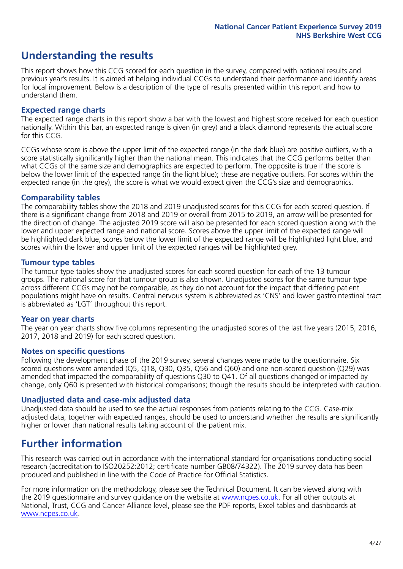## **Understanding the results**

This report shows how this CCG scored for each question in the survey, compared with national results and previous year's results. It is aimed at helping individual CCGs to understand their performance and identify areas for local improvement. Below is a description of the type of results presented within this report and how to understand them.

### **Expected range charts**

The expected range charts in this report show a bar with the lowest and highest score received for each question nationally. Within this bar, an expected range is given (in grey) and a black diamond represents the actual score for this CCG.

CCGs whose score is above the upper limit of the expected range (in the dark blue) are positive outliers, with a score statistically significantly higher than the national mean. This indicates that the CCG performs better than what CCGs of the same size and demographics are expected to perform. The opposite is true if the score is below the lower limit of the expected range (in the light blue); these are negative outliers. For scores within the expected range (in the grey), the score is what we would expect given the CCG's size and demographics.

### **Comparability tables**

The comparability tables show the 2018 and 2019 unadjusted scores for this CCG for each scored question. If there is a significant change from 2018 and 2019 or overall from 2015 to 2019, an arrow will be presented for the direction of change. The adjusted 2019 score will also be presented for each scored question along with the lower and upper expected range and national score. Scores above the upper limit of the expected range will be highlighted dark blue, scores below the lower limit of the expected range will be highlighted light blue, and scores within the lower and upper limit of the expected ranges will be highlighted grey.

### **Tumour type tables**

The tumour type tables show the unadjusted scores for each scored question for each of the 13 tumour groups. The national score for that tumour group is also shown. Unadjusted scores for the same tumour type across different CCGs may not be comparable, as they do not account for the impact that differing patient populations might have on results. Central nervous system is abbreviated as 'CNS' and lower gastrointestinal tract is abbreviated as 'LGT' throughout this report.

### **Year on year charts**

The year on year charts show five columns representing the unadjusted scores of the last five years (2015, 2016, 2017, 2018 and 2019) for each scored question.

### **Notes on specific questions**

Following the development phase of the 2019 survey, several changes were made to the questionnaire. Six scored questions were amended (Q5, Q18, Q30, Q35, Q56 and Q60) and one non-scored question (Q29) was amended that impacted the comparability of questions Q30 to Q41. Of all questions changed or impacted by change, only Q60 is presented with historical comparisons; though the results should be interpreted with caution.

### **Unadjusted data and case-mix adjusted data**

Unadjusted data should be used to see the actual responses from patients relating to the CCG. Case-mix adjusted data, together with expected ranges, should be used to understand whether the results are significantly higher or lower than national results taking account of the patient mix.

### **Further information**

This research was carried out in accordance with the international standard for organisations conducting social research (accreditation to ISO20252:2012; certificate number GB08/74322). The 2019 survey data has been produced and published in line with the Code of Practice for Official Statistics.

For more information on the methodology, please see the Technical Document. It can be viewed along with the 2019 questionnaire and survey quidance on the website at [www.ncpes.co.uk](https://www.ncpes.co.uk/supporting-documents). For all other outputs at National, Trust, CCG and Cancer Alliance level, please see the PDF reports, Excel tables and dashboards at [www.ncpes.co.uk.](https://www.ncpes.co.uk/current-results)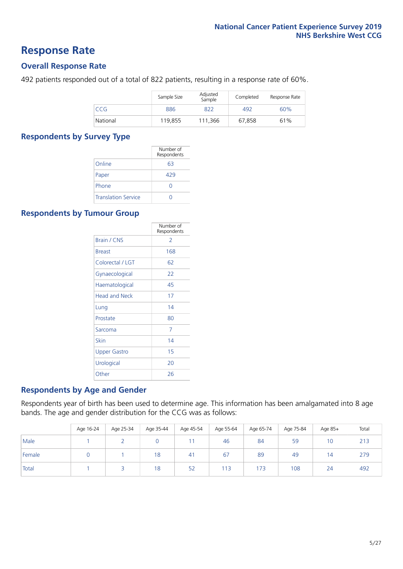### **Response Rate**

### **Overall Response Rate**

492 patients responded out of a total of 822 patients, resulting in a response rate of 60%.

|          | Sample Size | Adjusted<br>Sample | Completed | Response Rate |
|----------|-------------|--------------------|-----------|---------------|
| CCG      | 886         | 822                | 492       | 60%           |
| National | 119,855     | 111.366            | 67,858    | 61%           |

### **Respondents by Survey Type**

|                            | Number of<br>Respondents |
|----------------------------|--------------------------|
| Online                     | 63                       |
| Paper                      | 429                      |
| Phone                      |                          |
| <b>Translation Service</b> |                          |

### **Respondents by Tumour Group**

|                      | Number of<br>Respondents |
|----------------------|--------------------------|
| <b>Brain / CNS</b>   | $\mathcal{P}$            |
| <b>Breast</b>        | 168                      |
| Colorectal / LGT     | 62                       |
| Gynaecological       | 22                       |
| Haematological       | 45                       |
| <b>Head and Neck</b> | 17                       |
| Lung                 | 14                       |
| Prostate             | 80                       |
| Sarcoma              | 7                        |
| Skin                 | 14                       |
| Upper Gastro         | 15                       |
| Urological           | 20                       |
| Other                | 26                       |

### **Respondents by Age and Gender**

Respondents year of birth has been used to determine age. This information has been amalgamated into 8 age bands. The age and gender distribution for the CCG was as follows:

|        | Age 16-24 | Age 25-34 | Age 35-44 | Age 45-54 | Age 55-64 | Age 65-74 | Age 75-84 | Age 85+        | Total |
|--------|-----------|-----------|-----------|-----------|-----------|-----------|-----------|----------------|-------|
| Male   |           |           |           |           | 46        | 84        | 59        | 10             | 213   |
| Female |           |           | 18        | 41        | 67        | 89        | 49        | $\overline{4}$ | 279   |
| Total  |           |           | 18        | 52        | 113       | 173       | 108       | 24             | 492   |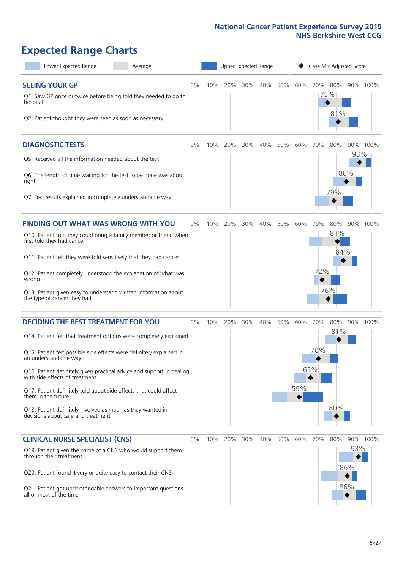# **Expected Range Charts**

| Lower Expected Range<br>Average                                                                         |       |     | Upper Expected Range |     |     |     |     | Case Mix Adjusted Score |         |            |          |
|---------------------------------------------------------------------------------------------------------|-------|-----|----------------------|-----|-----|-----|-----|-------------------------|---------|------------|----------|
| <b>SEEING YOUR GP</b>                                                                                   | 0%    | 10% | 20%                  | 30% | 40% | 50% | 60% |                         | 70% 80% |            | 90% 100% |
| Q1. Saw GP once or twice before being told they needed to go to<br>hospital                             |       |     |                      |     |     |     |     | 75%                     |         |            |          |
| Q2. Patient thought they were seen as soon as necessary                                                 |       |     |                      |     |     |     |     |                         | 81%     |            |          |
| <b>DIAGNOSTIC TESTS</b>                                                                                 | 0%    | 10% | 20%                  | 30% | 40% | 50% | 60% | 70%                     | 80%     |            | 90% 100% |
| Q5. Received all the information needed about the test                                                  |       |     |                      |     |     |     |     |                         |         | 93%        |          |
| Q6. The length of time waiting for the test to be done was about<br>right                               |       |     |                      |     |     |     |     |                         |         | 86%        |          |
| Q7. Test results explained in completely understandable way                                             |       |     |                      |     |     |     |     |                         | 79%     |            |          |
| <b>FINDING OUT WHAT WAS WRONG WITH YOU</b>                                                              | $0\%$ | 10% | 20%                  | 30% | 40% | 50% | 60% | 70%                     | 80%     |            | 90% 100% |
| Q10. Patient told they could bring a family member or friend when<br>first told they had cancer         |       |     |                      |     |     |     |     |                         | 81%     |            |          |
| Q11. Patient felt they were told sensitively that they had cancer                                       |       |     |                      |     |     |     |     |                         | 84%     |            |          |
| Q12. Patient completely understood the explanation of what was<br>wrong                                 |       |     |                      |     |     |     |     | 72%                     |         |            |          |
| Q13. Patient given easy to understand written information about<br>the type of cancer they had          |       |     |                      |     |     |     |     |                         | 76%     |            |          |
| <b>DECIDING THE BEST TREATMENT FOR YOU</b>                                                              | 0%    | 10% | 20%                  | 30% | 40% | 50% | 60% | 70%                     | 80%     |            | 90% 100% |
| Q14. Patient felt that treatment options were completely explained                                      |       |     |                      |     |     |     |     |                         | 81%     |            |          |
| Q15. Patient felt possible side effects were definitely explained in<br>an understandable way           |       |     |                      |     |     |     |     | 70%                     |         |            |          |
| Q16. Patient definitely given practical advice and support in dealing<br>with side effects of treatment |       |     |                      |     |     |     |     | 65%                     |         |            |          |
| Q17. Patient definitely told about side effects that could affect<br>them in the future                 |       |     |                      |     |     |     | 59% |                         |         |            |          |
| Q18. Patient definitely involved as much as they wanted in<br>decisions about care and treatment        |       |     |                      |     |     |     |     |                         | 80%     |            |          |
| <b>CLINICAL NURSE SPECIALIST (CNS)</b>                                                                  | 0%    | 10% | 20%                  | 30% | 40% | 50% | 60% | 70%                     | 80%     |            | 90% 100% |
| Q19. Patient given the name of a CNS who would support them<br>through their treatment                  |       |     |                      |     |     |     |     |                         |         | 93%<br>86% |          |
| Q20. Patient found it very or quite easy to contact their CNS                                           |       |     |                      |     |     |     |     |                         |         |            |          |
| Q21. Patient got understandable answers to important questions<br>all or most of the time               |       |     |                      |     |     |     |     |                         |         | 86%        |          |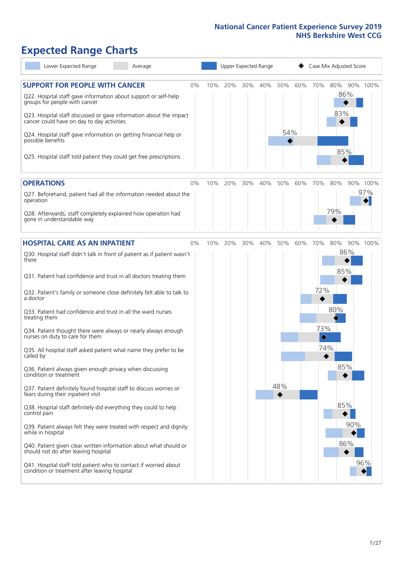# **Expected Range Charts**

| Lower Expected Range<br>Average                                                                                                                                                                                                                                                                                                                                                                                                                                                                                                                                                                                                                                                                                                                                                                                                                                                                                                                                                                                                                                                                                                           |       |     |     |     | Upper Expected Range |            |     |                        | Case Mix Adjusted Score                       |          |
|-------------------------------------------------------------------------------------------------------------------------------------------------------------------------------------------------------------------------------------------------------------------------------------------------------------------------------------------------------------------------------------------------------------------------------------------------------------------------------------------------------------------------------------------------------------------------------------------------------------------------------------------------------------------------------------------------------------------------------------------------------------------------------------------------------------------------------------------------------------------------------------------------------------------------------------------------------------------------------------------------------------------------------------------------------------------------------------------------------------------------------------------|-------|-----|-----|-----|----------------------|------------|-----|------------------------|-----------------------------------------------|----------|
| <b>SUPPORT FOR PEOPLE WITH CANCER</b><br>Q22. Hospital staff gave information about support or self-help<br>groups for people with cancer<br>Q23. Hospital staff discussed or gave information about the impact<br>cancer could have on day to day activities<br>Q24. Hospital staff gave information on getting financial help or<br>possible benefits<br>Q25. Hospital staff told patient they could get free prescriptions                                                                                                                                                                                                                                                                                                                                                                                                                                                                                                                                                                                                                                                                                                             | 0%    | 10% | 20% | 30% | 40%                  | 50%<br>54% | 60% | 70%                    | 80%<br>86%<br>83%<br>85%                      | 90% 100% |
| <b>OPERATIONS</b>                                                                                                                                                                                                                                                                                                                                                                                                                                                                                                                                                                                                                                                                                                                                                                                                                                                                                                                                                                                                                                                                                                                         | $0\%$ | 10% | 20% | 30% | 40%                  | 50%        | 60% | 70%                    | 80%                                           | 90% 100% |
| Q27. Beforehand, patient had all the information needed about the<br>operation<br>Q28. Afterwards, staff completely explained how operation had<br>gone in understandable way                                                                                                                                                                                                                                                                                                                                                                                                                                                                                                                                                                                                                                                                                                                                                                                                                                                                                                                                                             |       |     |     |     |                      |            |     |                        | 79%                                           | 97%      |
| <b>HOSPITAL CARE AS AN INPATIENT</b>                                                                                                                                                                                                                                                                                                                                                                                                                                                                                                                                                                                                                                                                                                                                                                                                                                                                                                                                                                                                                                                                                                      | $0\%$ | 10% | 20% | 30% | 40%                  | 50%        | 60% | 70%                    | 80%                                           | 90% 100% |
| Q30. Hospital staff didn't talk in front of patient as if patient wasn't<br>there<br>Q31. Patient had confidence and trust in all doctors treating them<br>Q32. Patient's family or someone close definitely felt able to talk to<br>a doctor<br>Q33. Patient had confidence and trust in all the ward nurses<br>treating them<br>Q34. Patient thought there were always or nearly always enough<br>nurses on duty to care for them<br>Q35. All hospital staff asked patient what name they prefer to be<br>called by<br>Q36. Patient always given enough privacy when discussing<br>condition or treatment<br>Q37. Patient definitely found hospital staff to discuss worries or<br>fears during their inpatient visit<br>Q38. Hospital staff definitely did everything they could to help<br>control pain<br>Q39. Patient always felt they were treated with respect and dignity<br>while in hospital<br>Q40. Patient given clear written information about what should or<br>should not do after leaving hospital<br>Q41. Hospital staff told patient who to contact if worried about<br>condition or treatment after leaving hospital |       |     |     |     |                      | 48%        |     | 72%<br>73%<br>♦<br>74% | 86%<br>85%<br>80%<br>85%<br>85%<br>90%<br>86% | 96%      |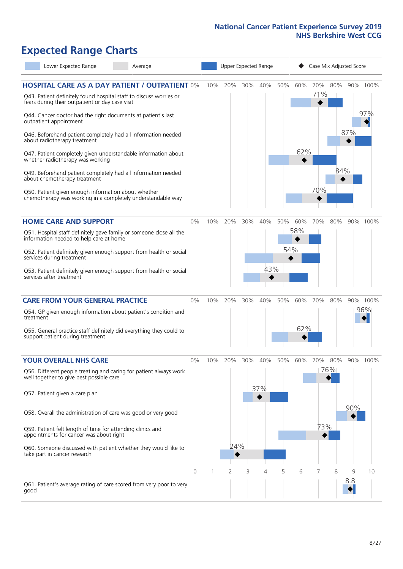# **Expected Range Charts**

| Lower Expected Range                                                                                                                                                           | Average |          | Upper Expected Range |     |        |     |     |     | Case Mix Adjusted Score |     |          |          |  |  |
|--------------------------------------------------------------------------------------------------------------------------------------------------------------------------------|---------|----------|----------------------|-----|--------|-----|-----|-----|-------------------------|-----|----------|----------|--|--|
| <b>HOSPITAL CARE AS A DAY PATIENT / OUTPATIENT 0%</b><br>Q43. Patient definitely found hospital staff to discuss worries or<br>fears during their outpatient or day case visit |         |          | 10%                  | 20% | 30%    | 40% | 50% | 60% | 70%<br>71%              | 80% |          | 90% 100% |  |  |
| Q44. Cancer doctor had the right documents at patient's last<br>outpatient appointment                                                                                         |         |          |                      |     |        |     |     |     |                         |     |          | 97%      |  |  |
| Q46. Beforehand patient completely had all information needed<br>about radiotherapy treatment                                                                                  |         |          |                      |     |        |     |     |     |                         |     | 87%      |          |  |  |
| Q47. Patient completely given understandable information about<br>whether radiotherapy was working                                                                             |         |          |                      |     |        |     |     | 62% |                         |     |          |          |  |  |
| Q49. Beforehand patient completely had all information needed<br>about chemotherapy treatment                                                                                  |         |          |                      |     |        |     |     |     | 70%                     | 84% |          |          |  |  |
| Q50. Patient given enough information about whether<br>chemotherapy was working in a completely understandable way                                                             |         |          |                      |     |        |     |     |     |                         |     |          |          |  |  |
| <b>HOME CARE AND SUPPORT</b>                                                                                                                                                   |         | 0%       | 10%                  | 20% | 30%    | 40% | 50% | 60% | 70%                     | 80% |          | 90% 100% |  |  |
| Q51. Hospital staff definitely gave family or someone close all the<br>information needed to help care at home                                                                 |         |          |                      |     |        |     |     | 58% |                         |     |          |          |  |  |
| Q52. Patient definitely given enough support from health or social<br>services during treatment                                                                                |         |          |                      |     |        |     | 54% |     |                         |     |          |          |  |  |
| Q53. Patient definitely given enough support from health or social<br>services after treatment                                                                                 |         |          |                      |     |        | 43% |     |     |                         |     |          |          |  |  |
| <b>CARE FROM YOUR GENERAL PRACTICE</b>                                                                                                                                         |         | $0\%$    | 10%                  | 20% | $30\%$ | 40% | 50% | 60% | 70%                     | 80% |          | 90% 100% |  |  |
| Q54. GP given enough information about patient's condition and<br>treatment                                                                                                    |         |          |                      |     |        |     |     |     |                         |     |          | 96%      |  |  |
| Q55. General practice staff definitely did everything they could to<br>support patient during treatment                                                                        |         |          |                      |     |        |     |     | 62% |                         |     |          |          |  |  |
| <b>YOUR OVERALL NHS CARE</b>                                                                                                                                                   |         | 0%       | 10%                  | 20% | 30%    | 40% | 50% | 60% | 70%                     | 80% |          | 90% 100% |  |  |
| Q56. Different people treating and caring for patient always work<br>well together to give best possible care                                                                  |         |          |                      |     |        |     |     |     |                         | 76% |          |          |  |  |
| Q57. Patient given a care plan                                                                                                                                                 |         |          |                      |     |        | 37% |     |     |                         |     |          |          |  |  |
| Q58. Overall the administration of care was good or very good                                                                                                                  |         |          |                      |     |        |     |     |     |                         |     | 90%      |          |  |  |
| Q59. Patient felt length of time for attending clinics and<br>appointments for cancer was about right                                                                          |         |          |                      |     |        |     |     |     | 73%                     |     |          |          |  |  |
| Q60. Someone discussed with patient whether they would like to<br>take part in cancer research                                                                                 |         |          |                      | 24% |        |     |     |     |                         |     |          |          |  |  |
|                                                                                                                                                                                |         | $\Omega$ |                      | 2   | 3      | 4   | 5   | 6   |                         | 8   | 9<br>8.8 | 10       |  |  |
| Q61. Patient's average rating of care scored from very poor to very<br>good                                                                                                    |         |          |                      |     |        |     |     |     |                         |     |          |          |  |  |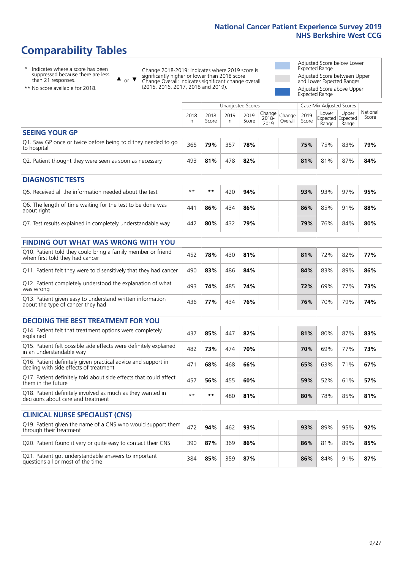# **Comparability Tables**

\* Indicates where a score has been suppressed because there are less than 21 responses.

\*\* No score available for 2018.

 $\triangle$  or  $\nabla$ 

Change 2018-2019: Indicates where 2019 score is significantly higher or lower than 2018 score Change Overall: Indicates significant change overall (2015, 2016, 2017, 2018 and 2019).

Adjusted Score below Lower Expected Range Adjusted Score between Upper and Lower Expected Ranges Adjusted Score above Upper Expected Range

|                                                                             |           |               | Unadjusted Scores |               |                                          |         |               | Case Mix Adjusted Scores            |                |                   |
|-----------------------------------------------------------------------------|-----------|---------------|-------------------|---------------|------------------------------------------|---------|---------------|-------------------------------------|----------------|-------------------|
|                                                                             | 2018<br>n | 2018<br>Score | 2019<br>n         | 2019<br>Score | $\sqrt{Change} Change $<br>2018-<br>2019 | Overall | 2019<br>Score | Lower<br>Expected Expected<br>Range | Upper<br>Range | National<br>Score |
| <b>SEEING YOUR GP</b>                                                       |           |               |                   |               |                                          |         |               |                                     |                |                   |
| Q1. Saw GP once or twice before being told they needed to go<br>to hospital | 365       | 79%           | 357               | 78%           |                                          |         | 75%           | 75%                                 | 83%            | 79%               |
| Q2. Patient thought they were seen as soon as necessary                     | 493       | 81%           | 478               | 82%           |                                          |         | 81%           | 81%                                 | 87%            | 84%               |
| <b>DIAGNOSTIC TESTS</b>                                                     |           |               |                   |               |                                          |         |               |                                     |                |                   |

| Q5. Received all the information needed about the test                    | $**$            | **  | 42 C | 94% |  | 93% | 93% | 97% | 95% |
|---------------------------------------------------------------------------|-----------------|-----|------|-----|--|-----|-----|-----|-----|
| Q6. The length of time waiting for the test to be done was<br>about right | 44 <sup>′</sup> | 86% | 434  | 86% |  | 86% | 85% | 91% | 88% |
| Q7. Test results explained in completely understandable way               | 442             | 80% | 432  | 79% |  | 79% | 76% | 84% | 80% |

| <b>FINDING OUT WHAT WAS WRONG WITH YOU</b>                                                      |     |     |     |     |     |     |     |     |
|-------------------------------------------------------------------------------------------------|-----|-----|-----|-----|-----|-----|-----|-----|
| Q10. Patient told they could bring a family member or friend<br>when first told they had cancer | 452 | 78% | 430 | 81% | 81% | 72% | 82% | 77% |
| Q11. Patient felt they were told sensitively that they had cancer                               | 490 | 83% | 486 | 84% | 84% | 83% | 89% | 86% |
| Q12. Patient completely understood the explanation of what<br>was wrong                         | 493 | 74% | 485 | 74% | 72% | 69% | 77% | 73% |
| Q13. Patient given easy to understand written information<br>about the type of cancer they had  | 436 | 77% | 434 | 76% | 76% | 70% | 79% | 74% |

| <b>DECIDING THE BEST TREATMENT FOR YOU</b>                                                              |                 |      |     |     |     |     |     |     |
|---------------------------------------------------------------------------------------------------------|-----------------|------|-----|-----|-----|-----|-----|-----|
| Q14. Patient felt that treatment options were completely<br>explained                                   | 437             | 85%  | 447 | 82% | 81% | 80% | 87% | 83% |
| Q15. Patient felt possible side effects were definitely explained<br>in an understandable way           | 482             | 73%  | 474 | 70% | 70% | 69% | 77% | 73% |
| Q16. Patient definitely given practical advice and support in<br>dealing with side effects of treatment | 47 <sup>1</sup> | 68%  | 468 | 66% | 65% | 63% | 71% | 67% |
| Q17. Patient definitely told about side effects that could affect<br>them in the future                 | 457             | 56%  | 455 | 60% | 59% | 52% | 61% | 57% |
| Q18. Patient definitely involved as much as they wanted in<br>decisions about care and treatment        | $**$            | $**$ | 480 | 81% | 80% | 78% | 85% | 81% |

| <b>CLINICAL NURSE SPECIALIST (CNS)</b>                                                    |     |     |     |     |  |     |     |     |     |
|-------------------------------------------------------------------------------------------|-----|-----|-----|-----|--|-----|-----|-----|-----|
| Q19. Patient given the name of a CNS who would support them<br>through their treatment    | 472 | 94% | 462 | 93% |  | 93% | 89% | 95% | 92% |
| Q20. Patient found it very or quite easy to contact their CNS                             | 390 | 87% | 369 | 86% |  | 86% | 81% | 89% | 85% |
| Q21. Patient got understandable answers to important<br>questions all or most of the time | 384 | 85% | 359 | 87% |  | 86% | 84% | 91% | 87% |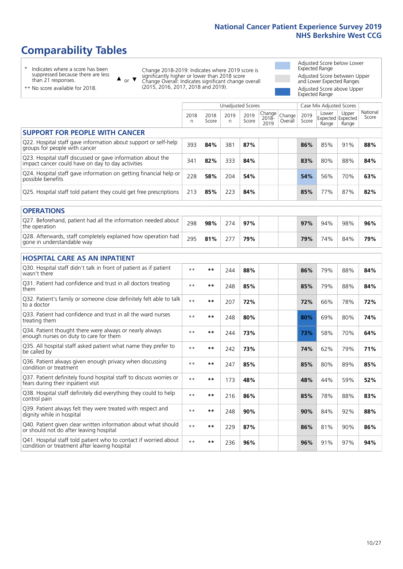# **Comparability Tables**

\* Indicates where a score has been suppressed because there are less than 21 responses.

\*\* No score available for 2018.

 $\triangle$  or  $\nabla$ 

Change 2018-2019: Indicates where 2019 score is significantly higher or lower than 2018 score Change Overall: Indicates significant change overall (2015, 2016, 2017, 2018 and 2019).

Adjusted Score below Lower Expected Range Adjusted Score between Upper and Lower Expected Ranges Adjusted Score above Upper Expected Range

|                                                                                                                   |              |               | <b>Unadjusted Scores</b> |               |                         |                   |               | Case Mix Adjusted Scores            |                |                   |
|-------------------------------------------------------------------------------------------------------------------|--------------|---------------|--------------------------|---------------|-------------------------|-------------------|---------------|-------------------------------------|----------------|-------------------|
|                                                                                                                   | 2018<br>n    | 2018<br>Score | 2019<br>n.               | 2019<br>Score | Change<br>2018-<br>2019 | Change<br>Overall | 2019<br>Score | Lower<br>Expected Expected<br>Range | Upper<br>Range | National<br>Score |
| <b>SUPPORT FOR PEOPLE WITH CANCER</b>                                                                             |              |               |                          |               |                         |                   |               |                                     |                |                   |
| Q22. Hospital staff gave information about support or self-help<br>groups for people with cancer                  | 393          | 84%           | 381                      | 87%           |                         |                   | 86%           | 85%                                 | 91%            | 88%               |
| Q23. Hospital staff discussed or gave information about the<br>impact cancer could have on day to day activities  | 341          | 82%           | 333                      | 84%           |                         |                   | 83%           | 80%                                 | 88%            | 84%               |
| Q24. Hospital staff gave information on getting financial help or<br>possible benefits                            | 228          | 58%           | 204                      | 54%           |                         |                   | 54%           | 56%                                 | 70%            | 63%               |
| Q25. Hospital staff told patient they could get free prescriptions                                                | 213          | 85%           | 223                      | 84%           |                         |                   | 85%           | 77%                                 | 87%            | 82%               |
| <b>OPERATIONS</b>                                                                                                 |              |               |                          |               |                         |                   |               |                                     |                |                   |
| Q27. Beforehand, patient had all the information needed about<br>the operation                                    | 298          | 98%           | 274                      | 97%           |                         |                   | 97%           | 94%                                 | 98%            | 96%               |
| Q28. Afterwards, staff completely explained how operation had<br>gone in understandable way                       | 295          | 81%           | 277                      | 79%           |                         |                   | 79%           | 74%                                 | 84%            | 79%               |
| <b>HOSPITAL CARE AS AN INPATIENT</b>                                                                              |              |               |                          |               |                         |                   |               |                                     |                |                   |
| Q30. Hospital staff didn't talk in front of patient as if patient<br>wasn't there                                 | $* *$        | **            | 244                      | 88%           |                         |                   | 86%           | 79%                                 | 88%            | 84%               |
| Q31. Patient had confidence and trust in all doctors treating<br>them                                             | $**$         | $***$         | 248                      | 85%           |                         |                   | 85%           | 79%                                 | 88%            | 84%               |
| Q32. Patient's family or someone close definitely felt able to talk<br>to a doctor                                | $* *$        | $***$         | 207                      | 72%           |                         |                   | 72%           | 66%                                 | 78%            | 72%               |
| Q33. Patient had confidence and trust in all the ward nurses<br>treating them                                     | $\star\star$ | **            | 248                      | 80%           |                         |                   | 80%           | 69%                                 | 80%            | 74%               |
| Q34. Patient thought there were always or nearly always<br>enough nurses on duty to care for them                 | $* *$        | **            | 244                      | 73%           |                         |                   | 73%           | 58%                                 | 70%            | 64%               |
| Q35. All hospital staff asked patient what name they prefer to<br>be called by                                    | $* *$        | **            | 242                      | 73%           |                         |                   | 74%           | 62%                                 | 79%            | 71%               |
| Q36. Patient always given enough privacy when discussing<br>condition or treatment                                | $**$         | $***$         | 247                      | 85%           |                         |                   | 85%           | 80%                                 | 89%            | 85%               |
| Q37. Patient definitely found hospital staff to discuss worries or<br>fears during their inpatient visit          | $**$         | **            | 173                      | 48%           |                         |                   | 48%           | 44%                                 | 59%            | 52%               |
| Q38. Hospital staff definitely did everything they could to help<br>control pain                                  | $* *$        | $***$         | 216                      | 86%           |                         |                   | 85%           | 78%                                 | 88%            | 83%               |
| Q39. Patient always felt they were treated with respect and<br>dignity while in hospital                          | $***$        | **            | 248                      | 90%           |                         |                   | 90%           | 84%                                 | 92%            | 88%               |
| Q40. Patient given clear written information about what should<br>or should not do after leaving hospital         | $**$         | **            | 229                      | 87%           |                         |                   | 86%           | 81%                                 | 90%            | 86%               |
| Q41. Hospital staff told patient who to contact if worried about<br>condition or treatment after leaving hospital | $**$         | **            | 236                      | 96%           |                         |                   | 96%           | 91%                                 | 97%            | 94%               |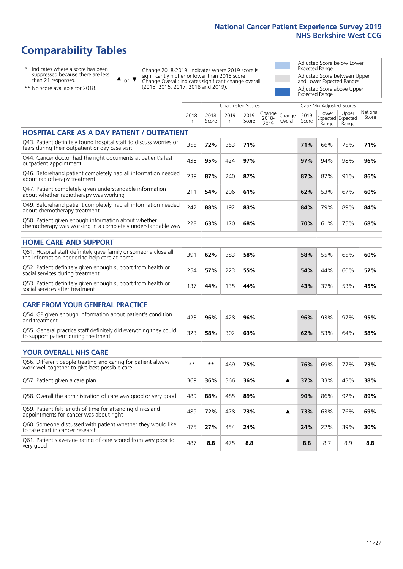# **Comparability Tables**

\* Indicates where a score has been suppressed because there are less than 21 responses.

\*\* No score available for 2018.

 $\triangle$  or  $\nabla$ 

Change 2018-2019: Indicates where 2019 score is significantly higher or lower than 2018 score Change Overall: Indicates significant change overall (2015, 2016, 2017, 2018 and 2019).

Adjusted Score below Lower Expected Range Adjusted Score between Upper and Lower Expected Ranges Adjusted Score above Upper Expected Range

|                                                                                                                       |              |               |            | Unadjusted Scores |                         |                   |               | Case Mix Adjusted Scores |                                     |                   |
|-----------------------------------------------------------------------------------------------------------------------|--------------|---------------|------------|-------------------|-------------------------|-------------------|---------------|--------------------------|-------------------------------------|-------------------|
|                                                                                                                       | 2018<br>n.   | 2018<br>Score | 2019<br>n. | 2019<br>Score     | Change<br>2018-<br>2019 | Change<br>Overall | 2019<br>Score | Lower<br>Range           | Upper<br>Expected Expected<br>Range | National<br>Score |
| <b>HOSPITAL CARE AS A DAY PATIENT / OUTPATIENT</b>                                                                    |              |               |            |                   |                         |                   |               |                          |                                     |                   |
| Q43. Patient definitely found hospital staff to discuss worries or<br>fears during their outpatient or day case visit | 355          | 72%           | 353        | 71%               |                         |                   | 71%           | 66%                      | 75%                                 | 71%               |
| Q44. Cancer doctor had the right documents at patient's last<br>outpatient appointment                                | 438          | 95%           | 424        | 97%               |                         |                   | 97%           | 94%                      | 98%                                 | 96%               |
| Q46. Beforehand patient completely had all information needed<br>about radiotherapy treatment                         | 239          | 87%           | 240        | 87%               |                         |                   | 87%           | 82%                      | 91%                                 | 86%               |
| Q47. Patient completely given understandable information<br>about whether radiotherapy was working                    | 211          | 54%           | 206        | 61%               |                         |                   | 62%           | 53%                      | 67%                                 | 60%               |
| Q49. Beforehand patient completely had all information needed<br>about chemotherapy treatment                         | 242          | 88%           | 192        | 83%               |                         |                   | 84%           | 79%                      | 89%                                 | 84%               |
| Q50. Patient given enough information about whether<br>chemotherapy was working in a completely understandable way    | 228          | 63%           | 170        | 68%               |                         |                   | 70%           | 61%                      | 75%                                 | 68%               |
| <b>HOME CARE AND SUPPORT</b>                                                                                          |              |               |            |                   |                         |                   |               |                          |                                     |                   |
| Q51. Hospital staff definitely gave family or someone close all<br>the information needed to help care at home        | 391          | 62%           | 383        | 58%               |                         |                   | 58%           | 55%                      | 65%                                 | 60%               |
| Q52. Patient definitely given enough support from health or<br>social services during treatment                       | 254          | 57%           | 223        | 55%               |                         |                   | 54%           | 44%                      | 60%                                 | 52%               |
| Q53. Patient definitely given enough support from health or<br>social services after treatment                        | 137          | 44%           | 135        | 44%               |                         |                   | 43%           | 37%                      | 53%                                 | 45%               |
| <b>CARE FROM YOUR GENERAL PRACTICE</b>                                                                                |              |               |            |                   |                         |                   |               |                          |                                     |                   |
| Q54. GP given enough information about patient's condition<br>and treatment                                           | 423          | 96%           | 428        | 96%               |                         |                   | 96%           | 93%                      | 97%                                 | 95%               |
| Q55. General practice staff definitely did everything they could<br>to support patient during treatment               | 323          | 58%           | 302        | 63%               |                         |                   | 62%           | 53%                      | 64%                                 | 58%               |
| <b>YOUR OVERALL NHS CARE</b>                                                                                          |              |               |            |                   |                         |                   |               |                          |                                     |                   |
| Q56. Different people treating and caring for patient always<br>work well together to give best possible care         | $\star\star$ | $***$         | 469        | 75%               |                         |                   | 76%           | 69%                      | 77%                                 | 73%               |
| Q57. Patient given a care plan                                                                                        | 369          | 36%           | 366        | 36%               |                         | ▲                 | 37%           | 33%                      | 43%                                 | 38%               |
| Q58. Overall the administration of care was good or very good                                                         | 489          | 88%           | 485        | 89%               |                         |                   | 90%           | 86%                      | 92%                                 | 89%               |
| Q59. Patient felt length of time for attending clinics and<br>appointments for cancer was about right                 | 489          | 72%           | 478        | 73%               |                         | ▲                 | 73%           | 63%                      | 76%                                 | 69%               |
| Q60. Someone discussed with patient whether they would like<br>to take part in cancer research                        | 475          | 27%           | 454        | 24%               |                         |                   | 24%           | 22%                      | 39%                                 | 30%               |
| Q61. Patient's average rating of care scored from very poor to<br>very good                                           | 487          | 8.8           | 475        | 8.8               |                         |                   | 8.8           | 8.7                      | 8.9                                 | 8.8               |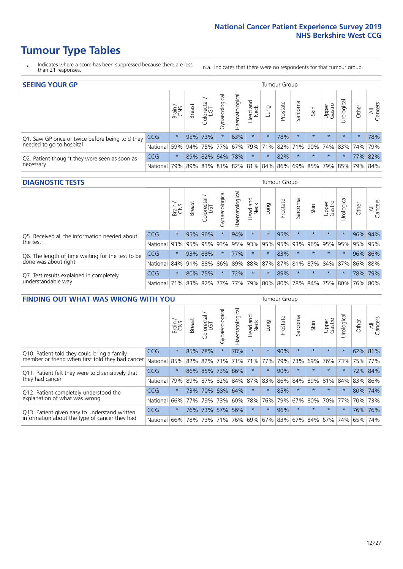# **Tumour Type Tables**

- \* Indicates where a score has been suppressed because there are less than 21 responses.
- n.a. Indicates that there were no respondents for that tumour group.

| <b>SEEING YOUR GP</b>                           |            |         |               |                   |                    |                |                  |                       | Tumour Group |         |                                                 |                 |                       |         |                |
|-------------------------------------------------|------------|---------|---------------|-------------------|--------------------|----------------|------------------|-----------------------|--------------|---------|-------------------------------------------------|-----------------|-----------------------|---------|----------------|
|                                                 |            | Brain   | <b>Breast</b> | Colorectal<br>LGT | ᠊ᢛ<br>Gynaecologic | Haematological | Head and<br>Neck | Lung                  | Prostate     | Sarcoma | Skin                                            | Upper<br>Gastro | $\sigma$<br>Jrologica | Other   | All<br>Cancers |
| Q1. Saw GP once or twice before being told they | <b>CCG</b> | $\star$ |               | 95% 73%           |                    | 63%            | $\star$          | $\star$               | 78%          | $\star$ | $\star$                                         | $\star$         | $\star$               | $\star$ | 78%            |
| needed to go to hospital                        | National   | 59%     |               | 94% 75% 77%       |                    |                |                  | 67%   79%   71%   82% |              |         | 71% 90% 74% 83% 74% 79%                         |                 |                       |         |                |
| Q2. Patient thought they were seen as soon as   | <b>CCG</b> | $\star$ |               | 89% 82% 64% 78%   |                    |                | $\star$          | $\star$               | 82%          | $\star$ | $\star$                                         | $\star$         | $\star$               |         | 77% 82%        |
| necessary                                       | National   | 79%     |               |                   |                    |                |                  |                       |              |         | 89% 83% 81% 82% 81% 84% 86% 69% 85% 79% 85% 79% |                 |                       |         | 84%            |

#### **DIAGNOSTIC TESTS** Tumour Group

|                                                   |              | Brain<br>CNS | <b>Breast</b> | Colorectal<br>LGT           | ᅙ<br>Gynaecologic | Haematological | Head and<br>Neck | Lung        | Prostate | Sarcoma | Skin    | Upper<br>Gastro | rological                           | Other | All<br>Cancers |
|---------------------------------------------------|--------------|--------------|---------------|-----------------------------|-------------------|----------------|------------------|-------------|----------|---------|---------|-----------------|-------------------------------------|-------|----------------|
| Q5. Received all the information needed about     | <b>CCG</b>   | $\star$      |               | 95% 96%                     | $\star$           | 94%            | $\star$          | $\star$     | 95%      |         | $\star$ | $\star$         | $\star$                             |       | 96% 94%        |
| $\vert$ the test                                  | National     | 93%          |               | 95% 95%                     | 93%               | 95%            |                  | 93% 95% 95% |          | 93%     | 96%     |                 | 95% 95%                             |       | 95% 95%        |
| Q6. The length of time waiting for the test to be | <b>CCG</b>   | $\star$      | 93%           | 88%                         | $\star$           | 77%            | $\star$          | $\star$     | 83%      | $\star$ | $\star$ | $\star$         | $\star$                             |       | 96% 86%        |
| done was about right                              | National     |              | 84% 91% 88%   |                             |                   |                |                  |             |          |         |         |                 | 86% 89% 88% 87% 87% 81% 87% 84% 87% |       | 86% 88%        |
| Q7. Test results explained in completely          | CCG          | $\star$      |               | 80% 75%                     |                   | 72%            | $\star$          | $\star$     | 89%      | $\star$ | $\star$ | $\star$         | $\star$                             |       | 78% 79%        |
| understandable way                                | National 71% |              |               | 83% 82% 77% 77% 79% 80% 80% |                   |                |                  |             |          |         |         |                 | 78% 84% 75% 80% 76% 80%             |       |                |

| <b>FINDING OUT WHAT WAS WRONG WITH YOU</b>        |            |         |               |                             |                |                    |                        |         | <b>Tumour Group</b> |         |         |                 |           |       |                |
|---------------------------------------------------|------------|---------|---------------|-----------------------------|----------------|--------------------|------------------------|---------|---------------------|---------|---------|-----------------|-----------|-------|----------------|
|                                                   |            | Brain   | <b>Breast</b> | olorectal.<br>LGT<br>$\cup$ | Gynaecological | aematological<br>Ĩ | ad and<br>Neck<br>Head | Lung    | Prostate            | Sarcoma | Skin    | Upper<br>Gastro | rological | Other | All<br>Cancers |
| Q10. Patient told they could bring a family       | CCG        | $\star$ | 85%           | 78%                         | $\star$        | 78%                | $\star$                | $\star$ | 90%                 | $\star$ | $\star$ | $\star$         | $\star$   | 62%   | 81%            |
| member or friend when first told they had cancer  | National   | 85%     | 82%           | 82%                         | 71%            | 71%                | 71%                    | 77%     | 79%                 | 73%     | 69%     | 76%             | 73%       | 75%   | 77%            |
| Q11. Patient felt they were told sensitively that | <b>CCG</b> | $\star$ |               | 86% 85%                     | 73%            | 86%                | $\star$                | $\star$ | 90%                 | $\star$ | $\star$ | $\star$         |           |       | 72% 84%        |
| they had cancer                                   | National   | 79%     |               |                             | 89% 87% 82%    | 84% 87%            |                        | 83%     | 86%                 | 84%     | 89%     | 81% 84%         |           | 83%   | 86%            |
| Q12. Patient completely understood the            | <b>CCG</b> | $\star$ | 73%           | 70%                         | 68%            | 64%                | $^\star$               | $\star$ | 85%                 | $\star$ | $\star$ | $\star$         |           | 80%   | 74%            |
| explanation of what was wrong                     | National   | 66%     | 77%           | 79%                         | 73%            | 60%                | 78%                    | 76%     | 79%                 | 67%     | 80%     | 70%             | 77%       | 70%   | 73%            |
| Q13. Patient given easy to understand written     | CCG        | $\star$ | 76%           | 73%                         | 57%            | 56%                | $\star$                | $\star$ | 96%                 | $\star$ | $\star$ | $\star$         | $\star$   |       | 76% 76%        |
| information about the type of cancer they had     | National   | 66%     | 78%           | 73%                         | 71%            | 76%                | 69%                    | 67% 83% |                     |         | 67% 84% | 67%             | 74%       | 65%   | 74%            |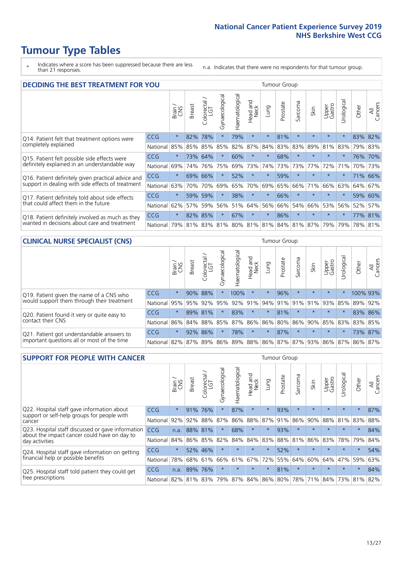# **Tumour Type Tables**

\* Indicates where a score has been suppressed because there are less than 21 responses.

n.a. Indicates that there were no respondents for that tumour group.

| <b>DECIDING THE BEST TREATMENT FOR YOU</b>         |            |         |               | <b>Tumour Group</b><br>Haematological<br>Gynaecological<br>Jrological<br>olorectal<br>LGT<br>ad and<br>Neck<br>Sarcoma<br>Prostate<br>All<br>Cancers<br>Upper<br>Gastro<br>Other<br>Lung<br>Skin<br>Head<br>Ũ<br>$\star$<br>78%<br>$\star$<br>81%<br>$\star$<br>83%<br>$\star$<br>79%<br>$\star$<br>$\star$<br>$\star$<br>82%<br>83%<br>89%<br>85%<br>82%<br>87%<br>83%<br>81%<br>79% 83%<br>85%<br>84%<br>83%<br>$\star$<br>$\star$<br>68%<br>$\star$<br>$\star$<br>$\star$<br>64%<br>$\star$<br>60%<br>76% 70%<br>73%<br>73%<br>77%<br>72%<br>76%<br>75%<br>69%<br>74%<br>73%<br>73%<br>71%<br>70% |         |     |         |         |     |                                     |         |         |          |         |         |
|----------------------------------------------------|------------|---------|---------------|------------------------------------------------------------------------------------------------------------------------------------------------------------------------------------------------------------------------------------------------------------------------------------------------------------------------------------------------------------------------------------------------------------------------------------------------------------------------------------------------------------------------------------------------------------------------------------------------------|---------|-----|---------|---------|-----|-------------------------------------|---------|---------|----------|---------|---------|
|                                                    |            | Brain   | <b>Breast</b> |                                                                                                                                                                                                                                                                                                                                                                                                                                                                                                                                                                                                      |         |     |         |         |     |                                     |         |         |          |         |         |
| Q14. Patient felt that treatment options were      | CCG        | $\star$ | 82%           |                                                                                                                                                                                                                                                                                                                                                                                                                                                                                                                                                                                                      |         |     |         |         |     |                                     |         |         |          |         |         |
| completely explained                               | National   | 85%     | 85%           |                                                                                                                                                                                                                                                                                                                                                                                                                                                                                                                                                                                                      |         |     |         |         |     |                                     |         |         |          |         |         |
| Q15. Patient felt possible side effects were       | <b>CCG</b> | $\star$ | 73%           |                                                                                                                                                                                                                                                                                                                                                                                                                                                                                                                                                                                                      |         |     |         |         |     |                                     |         |         |          |         |         |
| definitely explained in an understandable way      | National   | 69%     | 74%           |                                                                                                                                                                                                                                                                                                                                                                                                                                                                                                                                                                                                      |         |     |         |         |     |                                     |         |         |          |         |         |
| Q16. Patient definitely given practical advice and | <b>CCG</b> | $\star$ | 69%           | 66%                                                                                                                                                                                                                                                                                                                                                                                                                                                                                                                                                                                                  |         | 52% | $\star$ | $\star$ | 59% | $\star$                             | $\star$ | $\star$ | $\star$  |         | 71% 66% |
| support in dealing with side effects of treatment  | National   | 63%     | 70%           | 70%                                                                                                                                                                                                                                                                                                                                                                                                                                                                                                                                                                                                  | 69%     | 65% | 70%     | 69%     | 65% | 66%                                 | 71%     | 66%     | 63%      | 64%     | 67%     |
| Q17. Patient definitely told about side effects    | <b>CCG</b> | $\star$ | 59%           | 59%                                                                                                                                                                                                                                                                                                                                                                                                                                                                                                                                                                                                  |         | 38% | $\star$ | $\star$ | 66% | $\star$                             | $\star$ | $\star$ | $\star$  | 59%     | 60%     |
| that could affect them in the future               | National   | 62%     | 57%           | 59%                                                                                                                                                                                                                                                                                                                                                                                                                                                                                                                                                                                                  | 56%     | 51% | 64%     | 56%     | 66% | 54%                                 | 66%     | 53%     | 56%      | 52%     | 57%     |
| Q18. Patient definitely involved as much as they   | <b>CCG</b> | $\star$ | 82%           | 85%                                                                                                                                                                                                                                                                                                                                                                                                                                                                                                                                                                                                  | $\star$ | 67% | $\star$ | $\star$ | 86% | $\star$                             | $\star$ | $\star$ | $^\star$ |         | 77% 81% |
| wanted in decisions about care and treatment       | National   | 79%     |               |                                                                                                                                                                                                                                                                                                                                                                                                                                                                                                                                                                                                      |         |     |         |         |     | 81% 83% 81% 80% 81% 81% 84% 81% 87% |         | 79%     | 79%      | 78% 81% |         |

#### **CLINICAL NURSE SPECIALIST (CNS)** Tumour Group

|                                             |            | Brain   | <b>Breast</b>   | Colorectal<br>LGT | ᠊ᢛ<br>Gynaecologic | $\overline{\sigma}$<br>ت<br>Haematologi | Head and<br>Neck        | Lung    | Prostate | Sarcoma | Skin    | Upper<br>Gastro | rological | Other    | All<br>Cancers |
|---------------------------------------------|------------|---------|-----------------|-------------------|--------------------|-----------------------------------------|-------------------------|---------|----------|---------|---------|-----------------|-----------|----------|----------------|
| Q19. Patient given the name of a CNS who    | CCG        | $\star$ |                 | 90% 88%           |                    | 100%                                    | $\star$                 |         | 96%      | $\star$ | $\star$ | $\star$         |           | 100% 93% |                |
| would support them through their treatment  | National   | 95%     | 95%             | 92%               | 95%                | 92%                                     | 91%                     |         | 94% 91%  | 91%     | 91%     | 93%             | 85%       | 89%      | 92%            |
| Q20. Patient found it very or quite easy to | <b>CCG</b> | $\star$ |                 | 89% 81%           |                    | 83%                                     | $\star$                 | $\star$ | 81%      | $\star$ | $\star$ | $\star$         |           |          | 83% 86%        |
| contact their CNS                           | National   |         | 86% 84% 88% 85% |                   |                    | 87%                                     | 86%                     | 86% 80% |          |         |         | 86% 90% 85% 83% |           | 83%      | 85%            |
| Q21. Patient got understandable answers to  | CCG        | $\star$ | 92%             | 86%               |                    | 78%                                     | $\star$                 | $\star$ | 87%      | $\star$ | $\star$ | $\star$         | $\star$   |          | 73% 87%        |
| important questions all or most of the time | National   |         | 82% 87% 89% 86% |                   |                    |                                         | 89% 88% 86% 87% 87% 93% |         |          |         |         | 86% 87%         |           | 86%      | 87%            |

| <b>SUPPORT FOR PEOPLE WITH CANCER</b>                                                             |            |         |               |                        |                                     |                |                        |             | Tumour Group |         |         |                 |           |         |                |
|---------------------------------------------------------------------------------------------------|------------|---------|---------------|------------------------|-------------------------------------|----------------|------------------------|-------------|--------------|---------|---------|-----------------|-----------|---------|----------------|
|                                                                                                   |            | Brain   | <b>Breast</b> | olorectal.<br>LGT<br>Ũ | $\overline{\sigma}$<br>Gynaecologic | Haematological | ad and<br>Neck<br>Head | Lung        | Prostate     | Sarcoma | Skin    | Upper<br>Gastro | Jrologica | Other   | All<br>Cancers |
| Q22. Hospital staff gave information about<br>support or self-help groups for people with         | <b>CCG</b> | $\star$ | 91%           | 76%                    | $\star$                             | 87%            | $\star$                | $\star$     | 93%          | $\star$ | $\star$ | $\star$         | $\star$   | $\star$ | 87%            |
| cancer                                                                                            | National   | 92%     | 92%           | 88%                    | 87%                                 | 86%            | 88%                    | 87%         | 91%          | 86%     | 90%     | 88%             | 81%       | 83%     | 88%            |
| Q23. Hospital staff discussed or gave information<br>about the impact cancer could have on day to | CCG        | n.a.    |               | 88% 81%                | $\star$                             | 68%            | $\star$                | $\star$     | 93%          | $\star$ | $\star$ | $\star$         | $\star$   | $\star$ | 84%            |
| day activities                                                                                    | National   | 84%     | 86%           | 85%                    | 82%                                 | 84%            | 84%                    | 83%         | 88%          | 81%     | 86%     | 83%             | 78%       | 79%     | 84%            |
| Q24. Hospital staff gave information on getting                                                   | <b>CCG</b> | $\star$ |               | 52% 46%                | $\star$                             | $\star$        | $\star$                | $\star$     | 52%          | $\star$ | $\star$ | $\star$         | $\star$   | $\star$ | 54%            |
| financial help or possible benefits                                                               | National   | 78%     | 68%           | 61%                    | 66%                                 | 61%            | 67%                    | 72%         | 55%          | 64%     | 60%     | 64%             | 47%       | 59%     | 63%            |
| Q25. Hospital staff told patient they could get                                                   | <b>CCG</b> | n.a.    | 89%           | 76%                    | $\star$                             | $\star$        | $\star$                | $\star$     | 81%          | $\star$ | $\star$ | $\star$         | $\star$   | $\ast$  | 84%            |
| free prescriptions                                                                                | National   | 82%     |               | 81% 83%                | 79%                                 | 87%            |                        | 84% 86% 80% |              | 78%     | 71%     | $84\%$          | 73%       | 81%     | 82%            |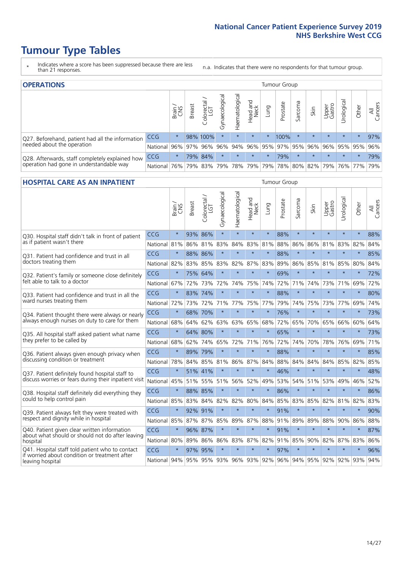# **Tumour Type Tables**

- \* Indicates where a score has been suppressed because there are less than 21 responses.
- n.a. Indicates that there were no respondents for that tumour group.

| <b>OPERATIONS</b>                                |              |         |               |                   |                    |                |                     |             | Tumour Group            |         |         |                 |             |         |                |
|--------------------------------------------------|--------------|---------|---------------|-------------------|--------------------|----------------|---------------------|-------------|-------------------------|---------|---------|-----------------|-------------|---------|----------------|
|                                                  |              | Brain   | <b>Breast</b> | Colorectal<br>LGT | ᠊ᢛ<br>Gynaecologic | Haematological | Head and<br>Neck    | <b>Dung</b> | Prostate                | Sarcoma | Skin    | Upper<br>Gastro | Jrological  | Other   | All<br>Cancers |
| Q27. Beforehand, patient had all the information | CCG          | $\star$ |               | 98% 100%          | $\star$            | $\star$        | $\star$             | $\star$     | 100%                    |         | $\star$ | $\star$         | $\star$     | $\star$ | 97%            |
| needed about the operation                       | National     | 96%     |               | 97% 96%           | 96%                |                |                     |             | 94% 96% 95% 97% 95% 96% |         |         |                 | 96% 95% 95% |         | 96%            |
| Q28. Afterwards, staff completely explained how  | <b>CCG</b>   | $\star$ |               | 79% 84%           | $\star$            | $\star$        | $\star$             | $^\star$    | 79%                     |         | $\star$ | $\star$         | $\star$     | $\star$ | 79%            |
| operation had gone in understandable way         | National 76% |         |               |                   |                    |                | 79% 83% 79% 78% 79% |             | 79% 78% 80% 82% 79%     |         |         |                 |             | 76% 77% | 79%            |

#### **HOSPITAL CARE AS AN INPATIENT** Tumour Group

|                                                                                                   |              | Brain   | Breast  | Colorectal /<br>LGT     | Gynaecological | Haematological | Head and<br>Neck | Lung    | Prostate | Sarcoma | Skin    | Upper<br>Gastro | Urological          | Other   | All<br>Cancers |
|---------------------------------------------------------------------------------------------------|--------------|---------|---------|-------------------------|----------------|----------------|------------------|---------|----------|---------|---------|-----------------|---------------------|---------|----------------|
| Q30. Hospital staff didn't talk in front of patient                                               | CCG          | $\star$ | 93%     | 86%                     | $\star$        | $\star$        | $\star$          | $\star$ | 88%      | $\star$ | $\star$ | $\star$         | $\star$             | $\star$ | 88%            |
| as if patient wasn't there                                                                        | National     | 81%     | 86%     | 81%                     | 83%            | 84%            | 83%              | 81%     | 88%      | 86%     | 86%     | 81%             | 83%                 | 82%     | 84%            |
| 031. Patient had confidence and trust in all<br>doctors treating them                             | CCG          | $\star$ | 88% 86% |                         | $\star$        | $\star$        | $\star$          | $\star$ | 88%      | $\star$ | $\star$ | $\star$         | $\star$             | $\star$ | 85%            |
|                                                                                                   | National     | 82%     |         | 83% 85%                 | 83%            | 82%            |                  | 87% 83% | 89%      | 86%     | 85%     | 81%             | 85%                 | 80%     | 84%            |
| Q32. Patient's family or someone close definitely<br>felt able to talk to a doctor                | CCG          | $\star$ | 75%     | 64%                     | $\star$        | $\star$        | $\star$          | $\star$ | 69%      | $\star$ | $\star$ | $\star$         | $\star$             | $\star$ | 72%            |
|                                                                                                   | National     | 67%     | 72%     | 73%                     | 72%            | 74%            | 75%              | 74%     | 72%      | 71%     | 74%     | 73%             | 71%                 | 69%     | 72%            |
| Q33. Patient had confidence and trust in all the<br>ward nurses treating them                     | CCG          | $\star$ | 83% 74% |                         | $\star$        | $\star$        | $\star$          | $\star$ | 88%      | $\star$ | $\star$ | $\star$         | $\star$             | $\star$ | 80%            |
|                                                                                                   | National     | 72%     | 73%     | 72%                     | 71%            | 77%            | 75%              | 77%     | 79%      | 74%     | 75%     | 73%             | 77%                 | 69%     | 74%            |
| Q34. Patient thought there were always or nearly<br>always enough nurses on duty to care for them | CCG          | $\star$ | 68%     | 70%                     | $\star$        | $\star$        | $\star$          | $\star$ | 76%      | $\star$ | $\star$ | $\star$         | $\star$             | $\star$ | 73%            |
|                                                                                                   | National     | 68%     | 64%     | 62%                     | 63%            | 63%            | 65%              | 68%     | 72%      | 65%     | 70%     | 65%             | 66%                 | 60%     | 64%            |
| Q35. All hospital staff asked patient what name<br>they prefer to be called by                    | CCG          | $\star$ |         | 64% 80%                 | $\star$        | $\star$        | $\star$          | $\star$ | 65%      | $\star$ | $\star$ | $\star$         | $\star$             | $\star$ | 73%            |
|                                                                                                   | National     | 68%     | 62%     | 74%                     | 65%            | 72%            | 71%              | 76%     | 72%      | 74%     | 70%     | 78%             | 76%                 | 69%     | 71%            |
| Q36. Patient always given enough privacy when                                                     | CCG          | $\star$ | 89%     | 79%                     | $\star$        | $\star$        | $\star$          | $\star$ | 88%      | $\star$ | $\star$ | $\star$         | $\star$             | $\star$ | 85%            |
| discussing condition or treatment                                                                 | National     | 78%     |         | 84% 85%                 | 81%            | 86%            |                  | 87% 84% | 88%      | 84%     | 84%     | 84%             | 85%                 | 82%     | 85%            |
| Q37. Patient definitely found hospital staff to                                                   | CCG          | $\star$ |         | 51% 41%                 | $\star$        | $\star$        | $\star$          | $\star$ | 46%      | $\star$ | $\star$ | ÷               | $\star$             | $\star$ | 48%            |
| discuss worries or fears during their inpatient visit                                             | National     | 45%     |         | 51% 55%                 | 51%            | 56%            | 52%              | 49%     | 53%      | 54%     | 51%     | 53%             | 49%                 | 46%     | 52%            |
| Q38. Hospital staff definitely did everything they                                                | CCG          | $\star$ | 88% 85% |                         | $\star$        | $\star$        | $\star$          | $\star$ | 86%      | $\star$ | $\star$ | $\star$         | $\star$             | $\star$ | 86%            |
| could to help control pain                                                                        | National     | 85%     | 83%     | 84%                     | 82%            | 82%            | 80%              | 84%     | 85%      | 83%     | 85%     | 82%             | 81%                 | 82%     | 83%            |
| Q39. Patient always felt they were treated with                                                   | CCG          | $\star$ | 92% 91% |                         | $\star$        | $\star$        | $\star$          | $\star$ | 91%      | $\star$ | $\star$ | $\star$         | $\star$             | $\star$ | 90%            |
| respect and dignity while in hospital                                                             | National 85% |         |         | 87% 87%                 | 85%            | 89%            |                  | 87% 88% | 91%      | 89%     | 89%     | 88%             | 90%                 | 86%     | 88%            |
| Q40. Patient given clear written information<br>about what should or should not do after leaving  | CCG          | $\star$ | 96% 87% |                         | $\star$        | $\star$        | $\star$          | $\star$ | 91%      | $\star$ | $\star$ | $\star$         | $\star$             | $\star$ | 87%            |
| hospital                                                                                          | National     | 80%     | 89%     | 86%                     | 86%            | 83%            |                  | 87% 82% | 91%      | 85%     | 90%     | 82%             | 87%                 | 83%     | 86%            |
| Q41. Hospital staff told patient who to contact<br>if worried about condition or treatment after  | CCG          | $\star$ | 97%     | 95%                     | $\star$        | $\star$        | $\star$          | $\star$ | 97%      | $\star$ | $\star$ | $\star$         | $\star$             | $\star$ | 96%            |
| leaving hospital                                                                                  | National 94% |         |         | 95% 95% 93% 96% 93% 92% |                |                |                  |         |          |         |         |                 | 96% 94% 95% 92% 92% | 93%     | 94%            |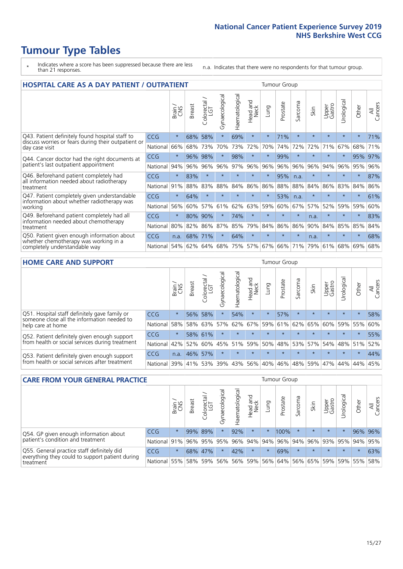# **Tumour Type Tables**

- \* Indicates where a score has been suppressed because there are less than 21 responses.
- n.a. Indicates that there were no respondents for that tumour group.

| <b>HOSPITAL CARE AS A DAY PATIENT / OUTPATIENT</b>                                                                    |            |         |               |                            |                |                |                                |         | <b>Tumour Group</b> |         |         |                 |            |         |                |  |  |
|-----------------------------------------------------------------------------------------------------------------------|------------|---------|---------------|----------------------------|----------------|----------------|--------------------------------|---------|---------------------|---------|---------|-----------------|------------|---------|----------------|--|--|
|                                                                                                                       |            | Brain   | <b>Breast</b> | ╮<br>olorectal<br>LGT<br>Ü | Gynaecological | Haematological | <b>Bad and</b><br>Neck<br>Head | Lung    | Prostate            | Sarcoma | Skin    | Upper<br>Gastro | Urological | Other   | All<br>Cancers |  |  |
| Q43. Patient definitely found hospital staff to                                                                       | <b>CCG</b> | $\star$ | 68%           | 58%                        | $\star$        | 69%            | $\star$                        | $\star$ | 71%                 | $\star$ | $\star$ | $\star$         | $\star$    | $\star$ | 71%            |  |  |
| discuss worries or fears during their outpatient or<br>day case visit                                                 | National   | 66%     | 68%           | 73%                        | 70%            | 73%            | 72%                            | 70%     | 74%                 | 72%     | 72%     | 71%             | 67%        | 68%     | 71%            |  |  |
| Q44. Cancer doctor had the right documents at<br>patient's last outpatient appointment                                | CCG        | $\star$ | 96%           | 98%                        | $\star$        | 98%            | $\star$                        | $\star$ | 99%                 | $\star$ | $\star$ | $\star$         | $\star$    | 95%     | 97%            |  |  |
|                                                                                                                       | National   | 94%     | 96%           | 96%                        | 96%            | 97%            | 96%                            | 96%     | 96%                 | 96%     | 96%     | 94%             | 96%        | 95%     | 96%            |  |  |
| Q46. Beforehand patient completely had                                                                                | <b>CCG</b> | $\star$ | 83%           | $\star$                    |                | $\star$        | $\star$                        | $\star$ | 95%                 | n.a.    | $\star$ | $\star$         | $\star$    | $\ast$  | 87%            |  |  |
| all information needed about radiotherapy<br>treatment                                                                | National   | 91%     | 88%           | 83%                        | 88%            | 84%            | 86%                            | 86%     | 88%                 | 88%     | 84%     | 86%             | 83%        | 84%     | 86%            |  |  |
| Q47. Patient completely given understandable<br>information about whether radiotherapy was                            | CCG        | $\star$ | 64%           | $\star$                    | $\star$        |                | $\star$                        | $\star$ | 53%                 | n.a.    | $\star$ | $\star$         | $\star$    | $\star$ | 61%            |  |  |
| working                                                                                                               | National   | 56%     | 60%           | 57%                        | 61%            | 62%            | 63%                            | 59%     | 60%                 | 67%     | 57%     | 52%             | 59%        | 59%     | 60%            |  |  |
| Q49. Beforehand patient completely had all                                                                            | <b>CCG</b> | $\star$ | 80%           | 90%                        |                | 74%            | $\star$                        | $\star$ | $\star$             | $\star$ | n.a.    | $\star$         | $\star$    | $\ast$  | 83%            |  |  |
| information needed about chemotherapy<br>treatment                                                                    | National   | 80%     | 82%           | 86%                        | 87%            | 85%            | 79%                            | 84%     | 86%                 | 86%     | 90%     | 84%             | 85%        | 85%     | 84%            |  |  |
| Q50. Patient given enough information about<br>whether chemotherapy was working in a<br>completely understandable way | <b>CCG</b> | n.a.    | 68%           | 71%                        | $\star$        | 64%            | $\star$                        | $\star$ | $\star$             | $\star$ | n.a.    | $\star$         | $\star$    | $\star$ | 68%            |  |  |
|                                                                                                                       | National   | 54%     | 62%           | 64%                        | 68%            | 75%            |                                | 57% 67% | 66%                 | 71%     | 79%     | 61%             | 68%        | 69%     | 68%            |  |  |

#### **HOME CARE AND SUPPORT** Tumour Group

|                                                                                                                   |            | Brain   | <b>Breast</b> | olorectal<br>LGT<br>Ü | त्त<br>Gynaecologic | Haematological | ad and<br>Neck<br>Head | <b>Dung</b> | Prostate | Sarcoma | Skin    | Upper<br>Gastro | Urological  | Other   | All<br>Cancers |
|-------------------------------------------------------------------------------------------------------------------|------------|---------|---------------|-----------------------|---------------------|----------------|------------------------|-------------|----------|---------|---------|-----------------|-------------|---------|----------------|
| Q51. Hospital staff definitely gave family or<br>someone close all the information needed to<br>help care at home | <b>CCG</b> | $\star$ | 56%           | 58%                   |                     | 54%            | $\star$                | $\star$     | 57%      | $\star$ | $\star$ | $\star$         | $\star$     | $\star$ | 58%            |
|                                                                                                                   | National   | 58%     | 58%           | 63%                   | 57%                 | 62%            | 67%                    |             | 59% 61%  | 62%     | 65%     | 60%             | 59% 55%     |         | 60%            |
| Q52. Patient definitely given enough support<br>from health or social services during treatment                   | <b>CCG</b> | $\star$ |               | 58% 61%               | $\star$             | $\star$        | $\star$                | $\star$     | $\star$  |         | $\star$ | $\star$         | $\star$     | $\star$ | 55%            |
|                                                                                                                   | National   | 42%     | 52%           | 60%                   |                     | 45% 51%        | 59%                    | 50%         | 48%      |         | 53% 57% |                 | 54% 48% 51% |         | 52%            |
| Q53. Patient definitely given enough support<br>from health or social services after treatment                    | <b>CCG</b> | n.a.    |               | 46% 57%               | $\star$             |                | $\star$                | $\star$     | $\star$  | $\star$ | $\star$ | $\star$         | $\star$     | $\star$ | 44%            |
|                                                                                                                   | National   | 39%     | 41% 53%       |                       | 39%                 | $ 43\% $       | 56%                    | 40%         | 46%      | 48%     | 59%     | 47%             | 44%         | 44%     | 45%            |

| <b>CARE FROM YOUR GENERAL PRACTICE</b>                                                                     |              |         |               |                   |                | Tumour Group   |                  |         |                             |         |         |                 |           |         |                |
|------------------------------------------------------------------------------------------------------------|--------------|---------|---------------|-------------------|----------------|----------------|------------------|---------|-----------------------------|---------|---------|-----------------|-----------|---------|----------------|
|                                                                                                            |              | Brain   | <b>Breast</b> | Colorectal<br>LGT | Gynaecological | Haematological | Head and<br>Neck | Lung    | Prostate                    | Sarcoma | Skin    | Upper<br>Gastro | Urologica | Other   | All<br>Cancers |
| Q54. GP given enough information about<br>patient's condition and treatment                                | <b>CCG</b>   | $\star$ |               | 99% 89%           | $\star$        | 92%            | $\star$          | $\star$ | 100%                        | $\star$ | $\star$ | $\star$         | $\star$   | 96% 96% |                |
|                                                                                                            | National 91% |         |               | 96% 95%           | 95%            |                |                  |         | 96% 94% 94% 96% 94% 96%     |         |         | 93% 95% 94% 95% |           |         |                |
| Q55. General practice staff definitely did<br>everything they could to support patient during<br>treatment | <b>CCG</b>   | $\star$ | 68%           | 147%              |                | 42%            | $\star$          | $\star$ | 69%                         | $\star$ | $\star$ | $\star$         | $\star$   | $\star$ | 63%            |
|                                                                                                            | National     | 55%     |               | 58% 59%           | 56%            |                | 56% 59%          |         | 56% 64% 56% 65% 59% 59% 55% |         |         |                 |           |         | 58%            |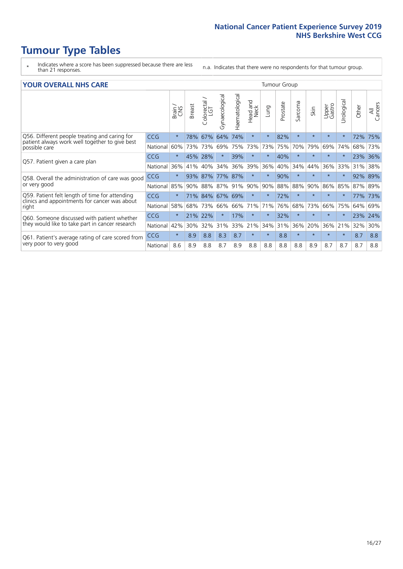# **Tumour Type Tables**

- \* Indicates where a score has been suppressed because there are less than 21 responses.
- n.a. Indicates that there were no respondents for that tumour group.

#### **YOUR OVERALL NHS CARE** THE CONSTRUCTION OF THE THROUP GROUP TUMOUR GROUP

| I YON OVERALL NI IS CARL                                                                        | anour oroup |         |               |                             |                |                |                  |             |          |              |         |                 |                |         |                |
|-------------------------------------------------------------------------------------------------|-------------|---------|---------------|-----------------------------|----------------|----------------|------------------|-------------|----------|--------------|---------|-----------------|----------------|---------|----------------|
|                                                                                                 |             | Brain   | <b>Breast</b> | ╮<br>olorectal.<br>LGT<br>Û | Gynaecological | Haematological | Head and<br>Neck | <b>Dung</b> | Prostate | arcoma<br>ιñ | Skin    | Upper<br>Gastro | लु<br>Urologia | Other   | All<br>Cancers |
| Q56. Different people treating and caring for                                                   | <b>CCG</b>  | $\star$ | 78%           | 67%                         | 64%            | 74%            | $\star$          | $\star$     | 82%      | $\star$      | $\star$ | $\star$         |                | 72%     | 75%            |
| patient always work well together to give best<br>possible care                                 | National    | 60%     |               | 73% 73%                     | 69%            | 75%            | 73%              | 73%         | 75%      | 70%          | 79%     | 69%             | 74%            | 68%     | 73%            |
| Q57. Patient given a care plan                                                                  | <b>CCG</b>  | $\star$ | 45%           | 28%                         |                | 39%            | $\star$          | $^\star$    | 40%      | $\star$      | $\star$ | $\star$         |                | 23% 36% |                |
|                                                                                                 | National    | 36%     | 41%           | 40%                         | 34%            | 36%            | 39%              | 36%         | 40%      | 34%          | 44%     | 36%             | 33%            | 31%     | 38%            |
| Q58. Overall the administration of care was good                                                | <b>CCG</b>  | $\star$ | 93%           | 87%                         | 77%            | 87%            | $\star$          | $^\star$    | 90%      | $\star$      | $\star$ | $\star$         |                | 92% 89% |                |
| or very good                                                                                    | National    | 85%     |               | 90% 88%                     | 87%            | 91%            | 90%              | 90%         | 88%      | 88%          | 90%     | 86%             | 85%            | 87% 89% |                |
| Q59. Patient felt length of time for attending<br>clinics and appointments for cancer was about | <b>CCG</b>  | $\star$ |               | 71% 84%                     | 67% 69%        |                | $\star$          | $\star$     | 72%      | $\star$      | $\star$ | $\star$         | $\star$        | 77%     | 73%            |
| right                                                                                           | National    | 58%     | 68%           | 73%                         | 66%            | 66%            | 71%              | 71%         | 76%      | 68%          | 73%     | 66%             | 75%            | 64%     | 69%            |
| Q60. Someone discussed with patient whether                                                     | <b>CCG</b>  | $\star$ | 21% 22%       |                             |                | 17%            | $\star$          | $\star$     | 32%      | $\star$      | $\star$ | $\star$         |                | 23%     | 24%            |
| they would like to take part in cancer research                                                 | National    | 42%     | 30%           | 32%                         | 31%            | 33%            | 21%              | 34%         | 31%      | 36%          | 20%     | 36%             | 21%            | 32%     | 30%            |
| Q61. Patient's average rating of care scored from<br>very poor to very good                     | <b>CCG</b>  | $\star$ | 8.9           | 8.8                         | 8.3            | 8.7            | $\star$          | $\star$     | 8.8      | $\star$      | $\star$ | $\star$         | $\star$        | 8.7     | 8.8            |
|                                                                                                 | National    | 8.6     | 8.9           | 8.8                         | 8.7            | 8.9            | 8.8              | 8.8         | 8.8      | 8.8          | 8.9     | 8.7             | 8.7            | 8.7     | 8.8            |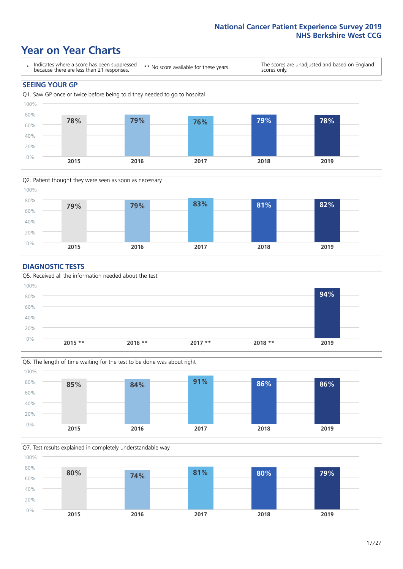### **Year on Year Charts**





#### **DIAGNOSTIC TESTS**





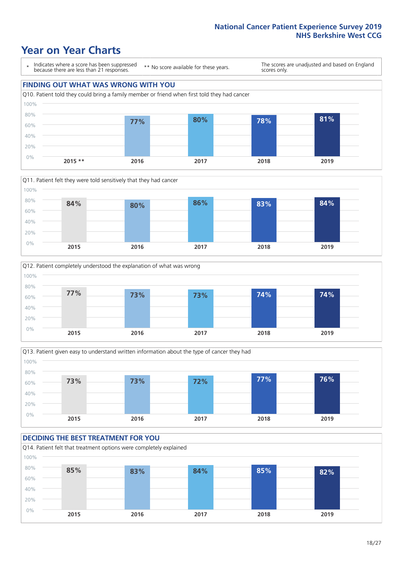### **Year on Year Charts**









#### **DECIDING THE BEST TREATMENT FOR YOU** Q14. Patient felt that treatment options were completely explained 0% 20% 40% 60% 80% 100% **2015 2016 2017 2018 2019 85% 83% 84% 85% 82%**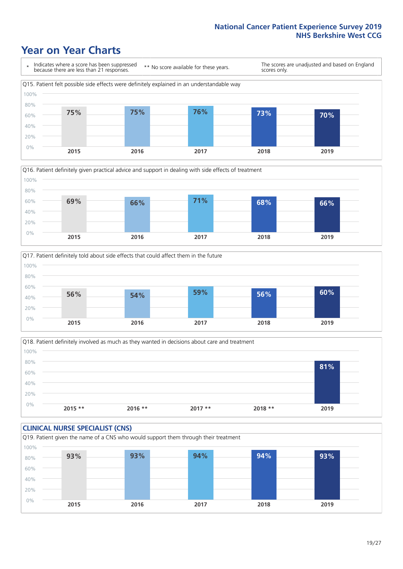### **Year on Year Charts**







Q18. Patient definitely involved as much as they wanted in decisions about care and treatment  $0%$ 20% 40% 60% 80% 100% **2015 \*\* 2016 \*\* 2017 \*\* 2018 \*\* 2019 81%**

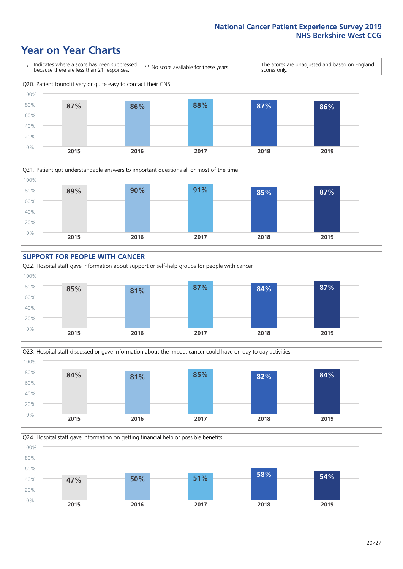### **Year on Year Charts**











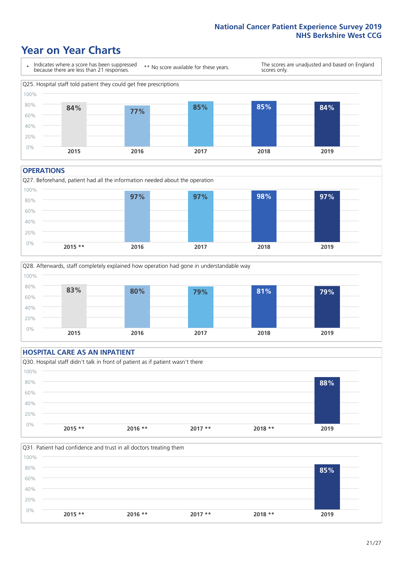### **Year on Year Charts**



#### **OPERATIONS**





### **HOSPITAL CARE AS AN INPATIENT** Q30. Hospital staff didn't talk in front of patient as if patient wasn't there 0% 20% 40% 60% 80% 100% **2015 \*\* 2016 \*\* 2017 \*\* 2018 \*\* 2019 88%**

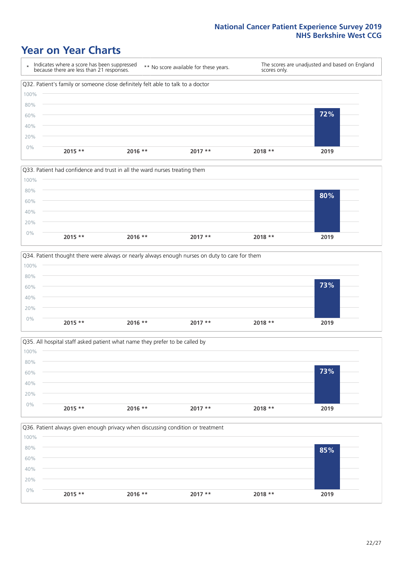### **Year on Year Charts**









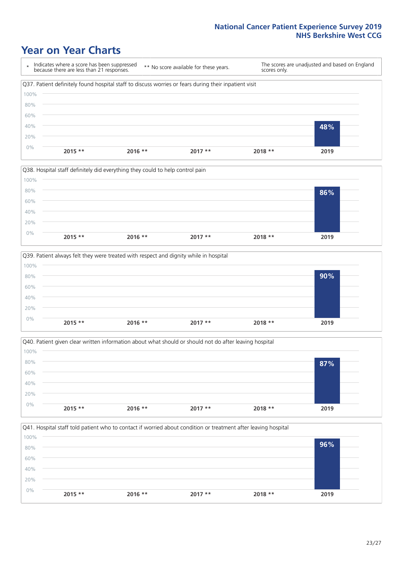### **Year on Year Charts**









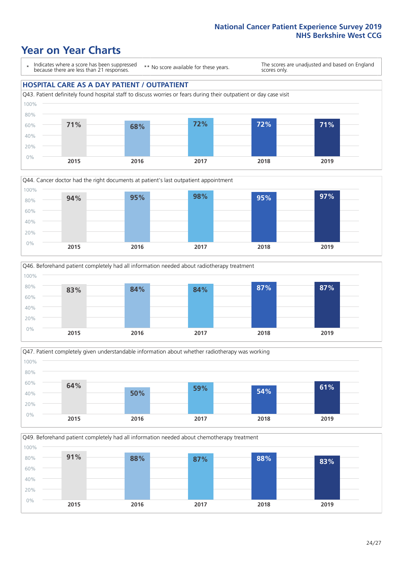### **Year on Year Charts**

\* Indicates where a score has been suppressed because there are less than 21 responses.

\*\* No score available for these years.

The scores are unadjusted and based on England scores only.

#### **HOSPITAL CARE AS A DAY PATIENT / OUTPATIENT**









Q49. Beforehand patient completely had all information needed about chemotherapy treatment 100%

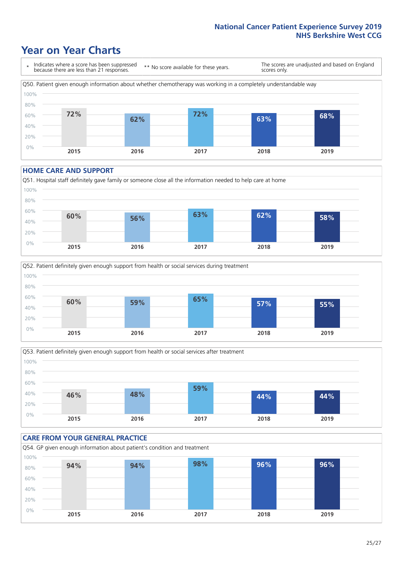### **Year on Year Charts**

\* Indicates where a score has been suppressed because there are less than 21 responses. \*\* No score available for these years. The scores are unadjusted and based on England scores only. Q50. Patient given enough information about whether chemotherapy was working in a completely understandable way 0% 20% 40% 60% 80% 100% **2015 2016 2017 2018 2019 72% 62% 72% 63% 68%**

#### **HOME CARE AND SUPPORT**







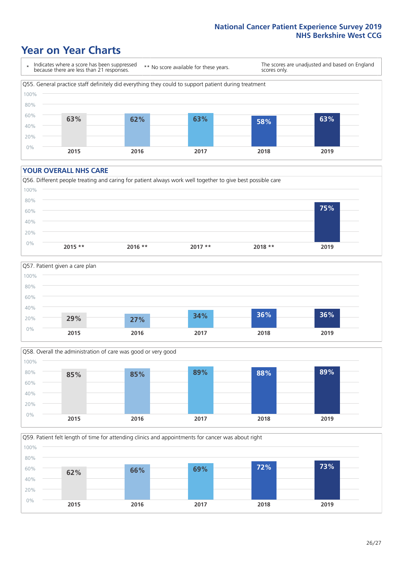### **Year on Year Charts**

\* Indicates where a score has been suppressed because there are less than 21 responses.

\*\* No score available for these years.

The scores are unadjusted and based on England scores only.



#### **YOUR OVERALL NHS CARE**







Q59. Patient felt length of time for attending clinics and appointments for cancer was about right 80% 100%